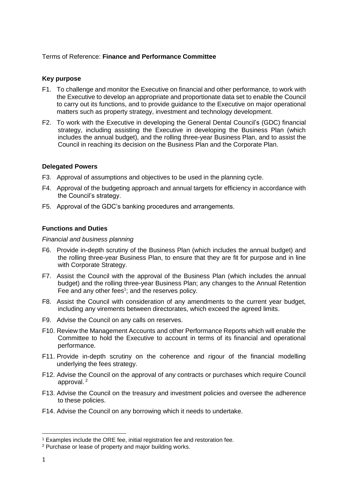## Terms of Reference: **Finance and Performance Committee**

# **Key purpose**

- F1. To challenge and monitor the Executive on financial and other performance, to work with the Executive to develop an appropriate and proportionate data set to enable the Council to carry out its functions, and to provide guidance to the Executive on major operational matters such as property strategy, investment and technology development.
- F2. To work with the Executive in developing the General Dental Council's (GDC) financial strategy, including assisting the Executive in developing the Business Plan (which includes the annual budget), and the rolling three-year Business Plan, and to assist the Council in reaching its decision on the Business Plan and the Corporate Plan.

## **Delegated Powers**

- F3. Approval of assumptions and objectives to be used in the planning cycle.
- F4. Approval of the budgeting approach and annual targets for efficiency in accordance with the Council's strategy.
- F5. Approval of the GDC's banking procedures and arrangements.

## **Functions and Duties**

#### *Financial and business planning*

- F6. Provide in-depth scrutiny of the Business Plan (which includes the annual budget) and the rolling three-year Business Plan, to ensure that they are fit for purpose and in line with Corporate Strategy.
- F7. Assist the Council with the approval of the Business Plan (which includes the annual budget) and the rolling three-year Business Plan; any changes to the Annual Retention Fee and any other fees<sup>1</sup>; and the reserves policy.
- F8. Assist the Council with consideration of any amendments to the current year budget, including any virements between directorates, which exceed the agreed limits.
- F9. Advise the Council on any calls on reserves.
- F10. Review the Management Accounts and other Performance Reports which will enable the Committee to hold the Executive to account in terms of its financial and operational performance.
- F11. Provide in-depth scrutiny on the coherence and rigour of the financial modelling underlying the fees strategy.
- F12. Advise the Council on the approval of any contracts or purchases which require Council approval. <sup>2</sup>
- F13. Advise the Council on the treasury and investment policies and oversee the adherence to these policies.
- F14. Advise the Council on any borrowing which it needs to undertake.

1

<sup>1</sup> Examples include the ORE fee, initial registration fee and restoration fee.

<sup>2</sup> Purchase or lease of property and major building works.